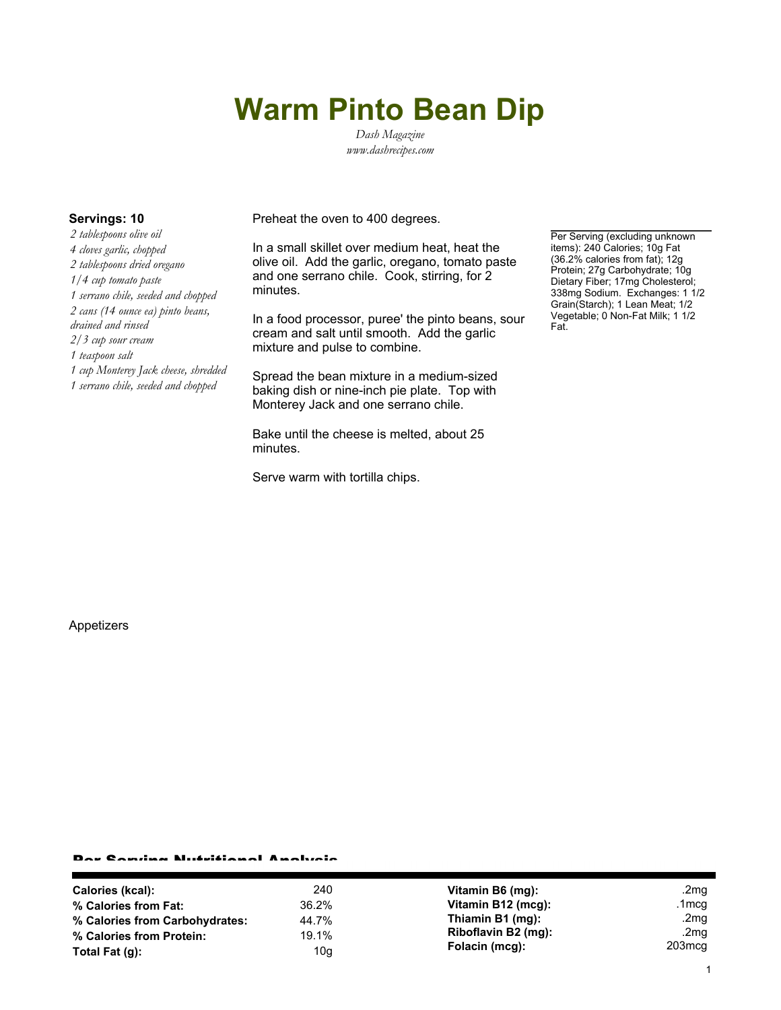# **Warm Pinto Bean Dip**

*Dash Magazine www.dashrecipes.com*

*2 tablespoons olive oil 4 cloves garlic, chopped 2 tablespoons dried oregano 1/4 cup tomato paste 1 serrano chile, seeded and chopped 2 cans (14 ounce ea) pinto beans, drained and rinsed 2/3 cup sour cream 1 teaspoon salt 1 cup Monterey Jack cheese, shredded 1 serrano chile, seeded and chopped*

**Servings: 10** Preheat the oven to 400 degrees.

In a small skillet over medium heat, heat the olive oil. Add the garlic, oregano, tomato paste and one serrano chile. Cook, stirring, for 2 minutes.

In a food processor, puree' the pinto beans, sour cream and salt until smooth. Add the garlic mixture and pulse to combine.

Spread the bean mixture in a medium-sized baking dish or nine-inch pie plate. Top with Monterey Jack and one serrano chile.

Bake until the cheese is melted, about 25 minutes.

Serve warm with tortilla chips.

Per Serving (excluding unknown items): 240 Calories; 10g Fat (36.2% calories from fat); 12g Protein; 27g Carbohydrate; 10g Dietary Fiber; 17mg Cholesterol; 338mg Sodium. Exchanges: 1 1/2 Grain(Starch); 1 Lean Meat; 1/2 Vegetable; 0 Non-Fat Milk; 1 1/2 Fat.

Appetizers

### Per Serving Nutritional Analysis

| 240   | Vitamin B6 (mg):    | .2mg             |
|-------|---------------------|------------------|
| 36.2% | Vitamin B12 (mcg):  | .1mcg            |
| 44.7% | Thiamin B1 (mg):    | .2 $mg$          |
| 19.1% | Riboflavin B2 (mg): | .2 $mg$          |
| 10g   | Folacin (mcg):      | $203 \text{mcg}$ |
|       |                     |                  |